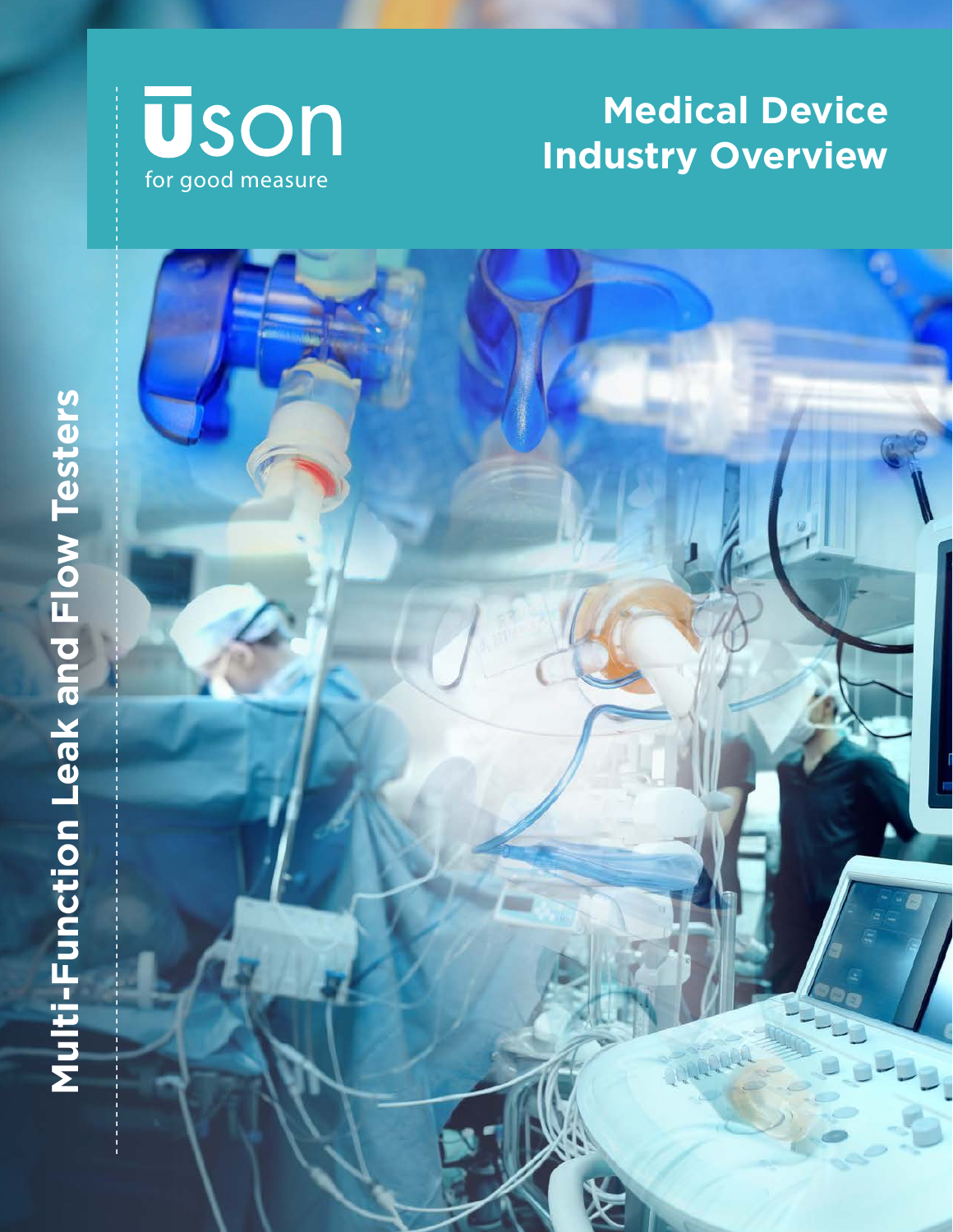

# **Medical Device Industry Overview**

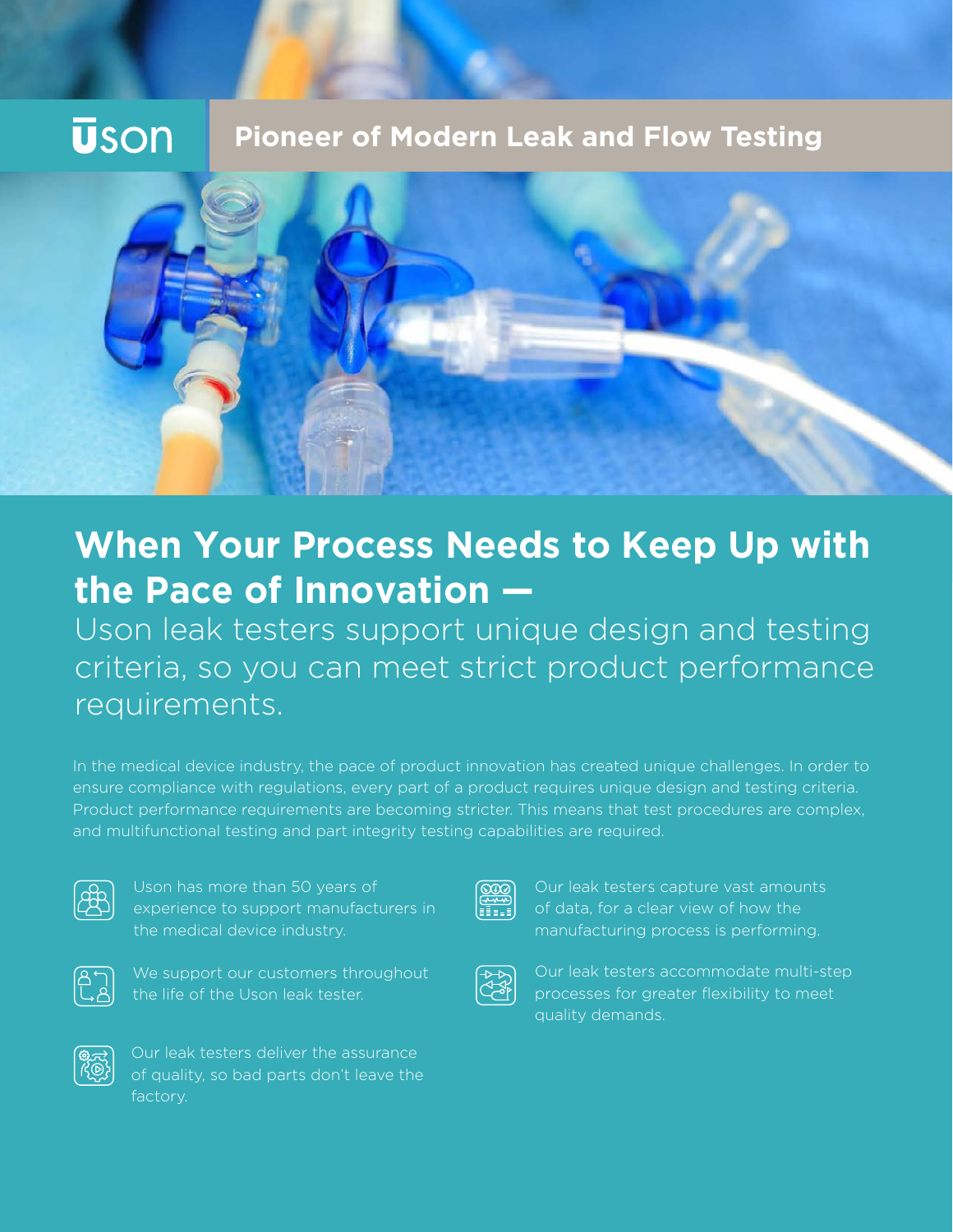# **Uson**

## **Pioneer of Modern Leak and Flow Testing**



# **When Your Process Needs to Keep Up with the Pace of Innovation —**

Uson leak testers support unique design and testing criteria, so you can meet strict product performance requirements.

In the medical device industry, the pace of product innovation has created unique challenges. In order to ensure compliance with regulations, every part of a product requires unique design and testing criteria. Product performance requirements are becoming stricter. This means that test procedures are complex, and multifunctional testing and part integrity testing capabilities are required.



Uson has more than 50 years of experience to support manufacturers in the medical device industry.



We support our customers throughout the life of the Uson leak tester.



Our leak testers deliver the assurance of quality, so bad parts don't leave the factory.



Our leak testers capture vast amounts of data, for a clear view of how the manufacturing process is performing.



Our leak testers accommodate multi-step processes for greater flexibility to meet quality demands.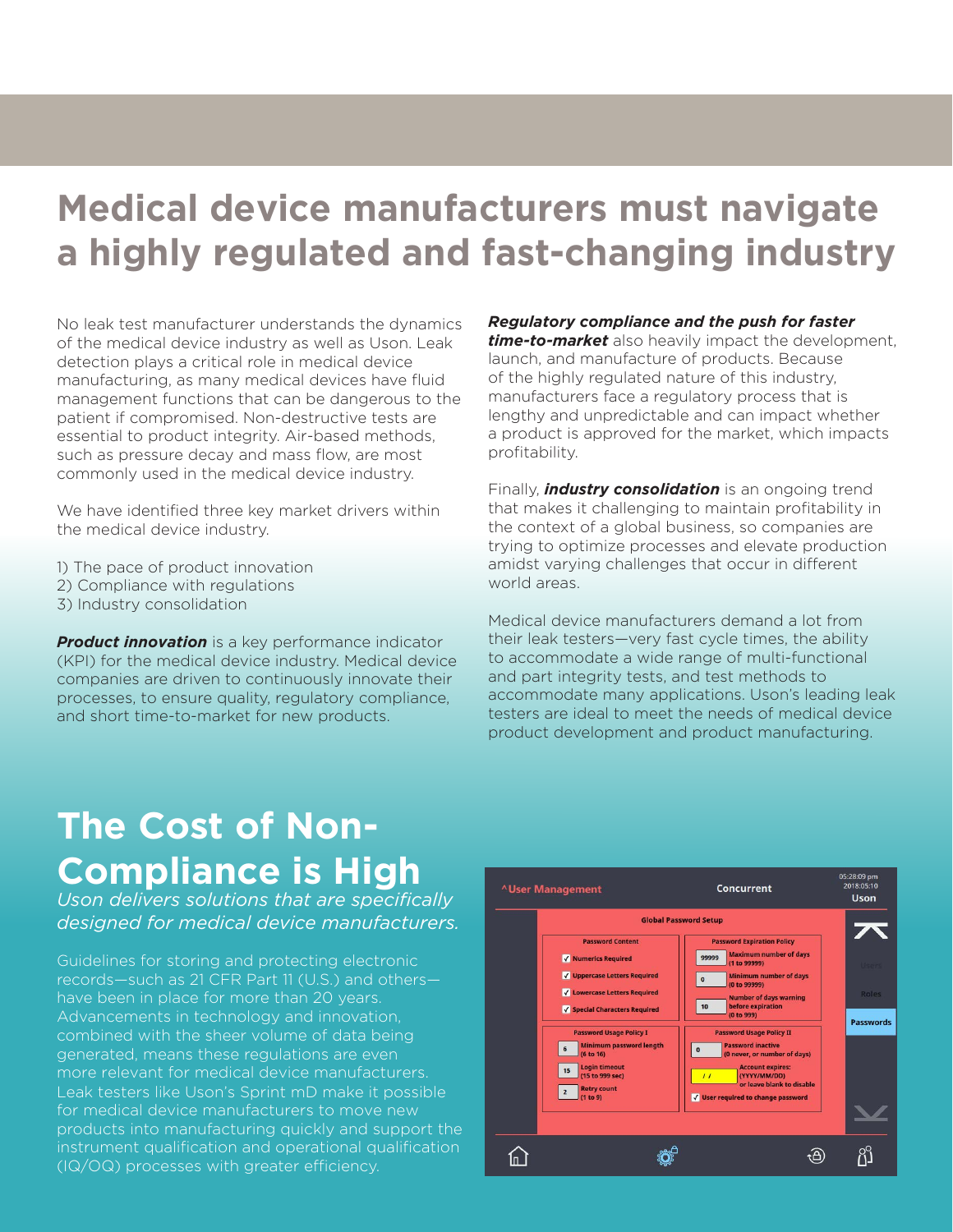# **Medical device manufacturers must navigate a highly regulated and fast-changing industry**

No leak test manufacturer understands the dynamics of the medical device industry as well as Uson. Leak detection plays a critical role in medical device manufacturing, as many medical devices have fluid management functions that can be dangerous to the patient if compromised. Non-destructive tests are essential to product integrity. Air-based methods, such as pressure decay and mass flow, are most commonly used in the medical device industry.

We have identified three key market drivers within the medical device industry.

1) The pace of product innovation

- 2) Compliance with regulations
- 3) Industry consolidation

**Product innovation** is a key performance indicator (KPI) for the medical device industry. Medical device companies are driven to continuously innovate their processes, to ensure quality, regulatory compliance, and short time-to-market for new products.

#### *Regulatory compliance and the push for faster*

*time-to-market* also heavily impact the development, launch, and manufacture of products. Because of the highly regulated nature of this industry, manufacturers face a regulatory process that is lengthy and unpredictable and can impact whether a product is approved for the market, which impacts profitability.

Finally, *industry consolidation* is an ongoing trend that makes it challenging to maintain profitability in the context of a global business, so companies are trying to optimize processes and elevate production amidst varying challenges that occur in different world areas.

Medical device manufacturers demand a lot from their leak testers—very fast cycle times, the ability to accommodate a wide range of multi-functional and part integrity tests, and test methods to accommodate many applications. Uson's leading leak testers are ideal to meet the needs of medical device product development and product manufacturing.

# **The Cost of Non-Compliance is High**

*Uson delivers solutions that are specifically designed for medical device manufacturers.* 

Guidelines for storing and protecting electronic records—such as 21 CFR Part 11 (U.S.) and others have been in place for more than 20 years. Advancements in technology and innovation, combined with the sheer volume of data being generated, means these regulations are even more relevant for medical device manufacturers. Leak testers like Uson's Sprint mD make it possible for medical device manufacturers to move new products into manufacturing quickly and support the instrument qualification and operational qualification (IQ/OQ) processes with greater efficiency.

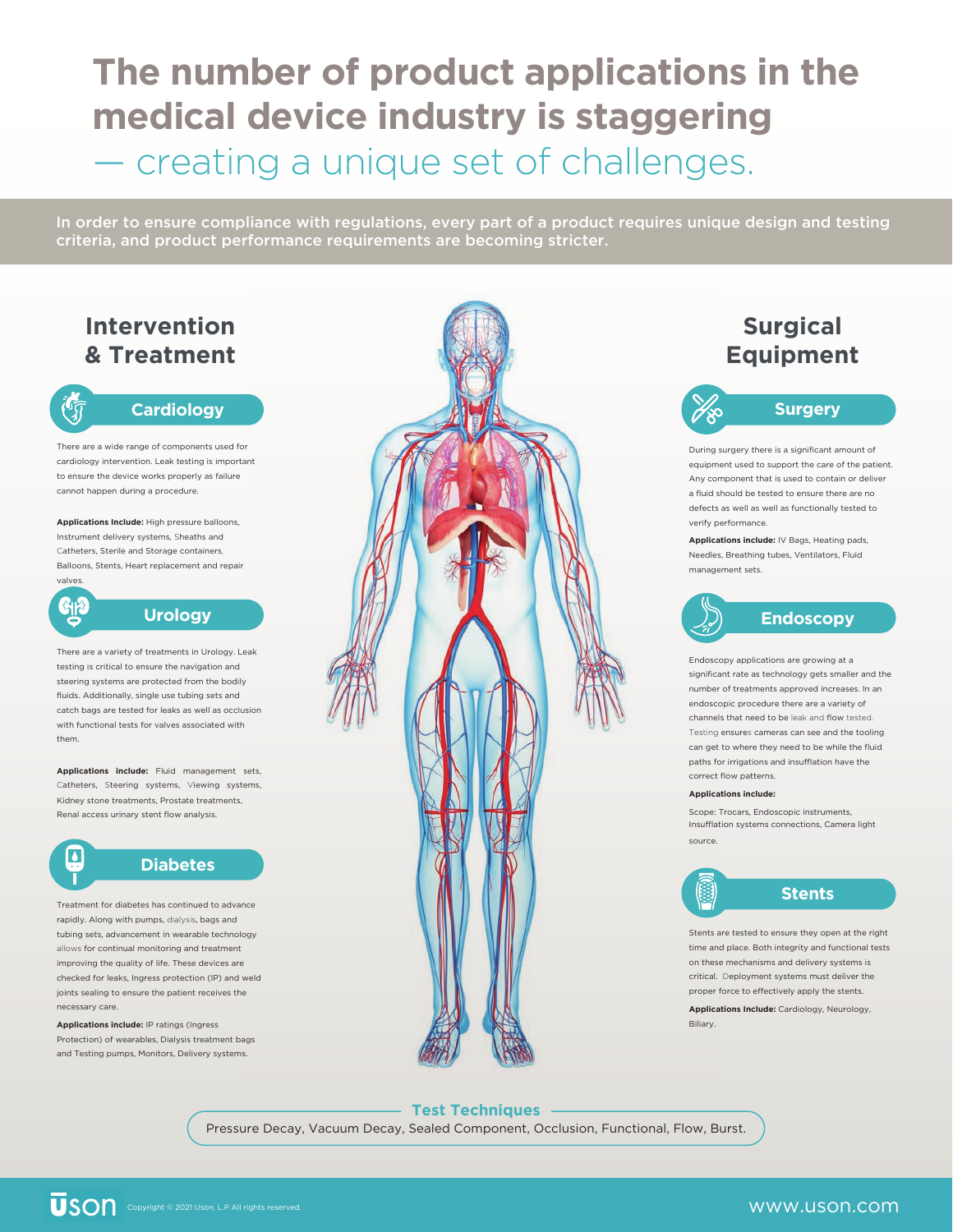# **The number of product applications in the medical device industry is staggering** — creating a unique set of challenges.

In order to ensure compliance with regulations, every part of a product requires unique design and testing criteria, and product performance requirements are becoming stricter.

## **Intervention & Treatment**

# G

နျေး

 $\Delta$ 

#### **Cardiology**

There are a wide range of components used for cardiology intervention. Leak testing is important to ensure the device works properly as failure cannot happen during a procedure.

**Applications Include:** High pressure balloons, Instrument delivery systems, Sheaths and Catheters, Sterile and Storage containers, Balloons, Stents, Heart replacement and repair valves.

**Urology**

There are a variety of treatments in Urology. Leak testing is critical to ensure the navigation and steering systems are protected from the bodily fluids. Additionally, single use tubing sets and catch bags are tested for leaks as well as occlusion with functional tests for valves associated with them.

**Applications include:** Fluid management sets, Catheters, Steering systems, Viewing systems, Kidney stone treatments, Prostate treatments, Renal access urinary stent flow analysis.

## **Diabetes**

Treatment for diabetes has continued to advance rapidly. Along with pumps, dialysis, bags and tubing sets, advancement in wearable technology allows for continual monitoring and treatment improving the quality of life. These devices are checked for leaks, Ingress protection (IP) and weld joints sealing to ensure the patient receives the necessary care.

#### **Applications include:** IP ratings (Ingress Protection) of wearables, Dialysis treatment bags and Testing pumps, Monitors, Delivery systems.



## **Surgical Equipment**

**Surgery**

During surgery there is a significant amount of equipment used to support the care of the patient. Any component that is used to contain or deliver a fluid should be tested to ensure there are no defects as well as well as functionally tested to verify performance.

**Applications include:** IV Bags, Heating pads, Needles, Breathing tubes, Ventilators, Fluid management sets.



Endoscopy applications are growing at a significant rate as technology gets smaller and the number of treatments approved increases. In an endoscopic procedure there are a variety of channels that need to be leak and flow tested. Testing ensures cameras can see and the tooling can get to where they need to be while the fluid paths for irrigations and insufflation have the correct flow patterns.

#### **Applications include:**

Scope: Trocars, Endoscopic instruments, .Insufflation systems connections, Camera light source.



## **Stents**

Stents are tested to ensure they open at the right time and place. Both integrity and functional tests on these mechanisms and delivery systems is critical. Deployment systems must deliver the proper force to effectively apply the stents.

**Applications Include:** Cardiology, Neurology, Biliary.

## **Test Techniques**

Pressure Decay, Vacuum Decay, Sealed Component, Occlusion, Functional, Flow, Burst.

## www.uson.com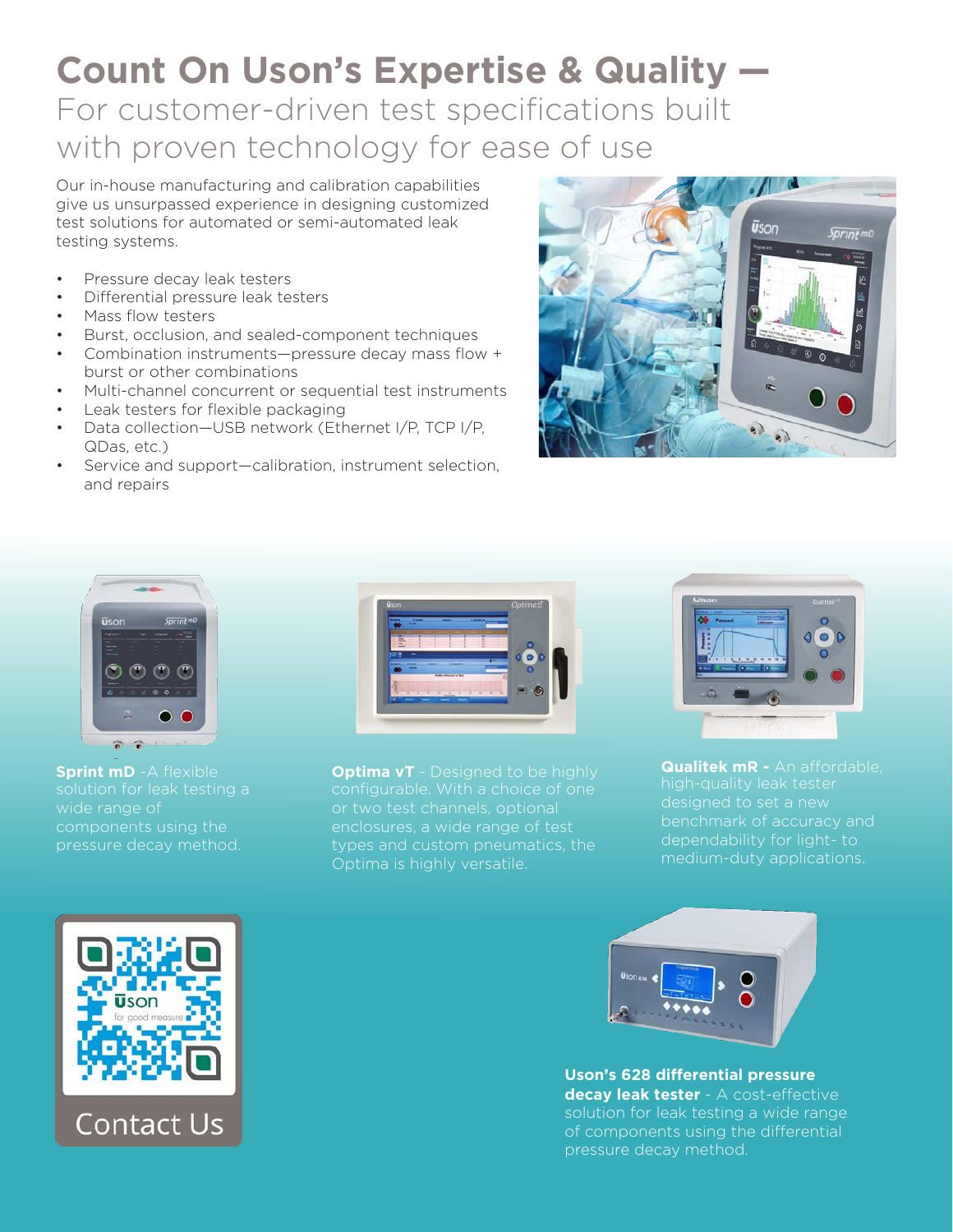# **Count On Uson's Expertise & Quality —** For customer-driven test specifications built

# with proven technology for ease of use

Our in-house manufacturing and calibration capabilities give us unsurpassed experience in designing customized test solutions for automated or semi-automated leak testing systems.

- Pressure decay leak testers
- Differential pressure leak testers
- Mass flow testers
- Burst, occlusion, and sealed-component techniques
- Combination instruments—pressure decay mass flow + burst or other combinations
- Multi-channel concurrent or sequential test instruments
- Leak testers for flexible packaging
- Data collection—USB network (Ethernet I/P, TCP I/P, QDas, etc.)
- Service and support—calibration, instrument selection, and repairs





**Sprint mD** -A flexible solution for leak testing a wide range of components using the pressure decay method.



**Optima vT** - Designed to be highly or two test channels, optional enclosures, a wide range of test types and custom pneumatics, the Optima is highly versatile.



**Qualitek mR -** An affordable, high-quality leak tester dependability for light- to medium-duty applications.



**Uson's 628 differential pressure decay leak tester** - A cost-effective solution for leak testing a wide range of components using the differential pressure decay method.